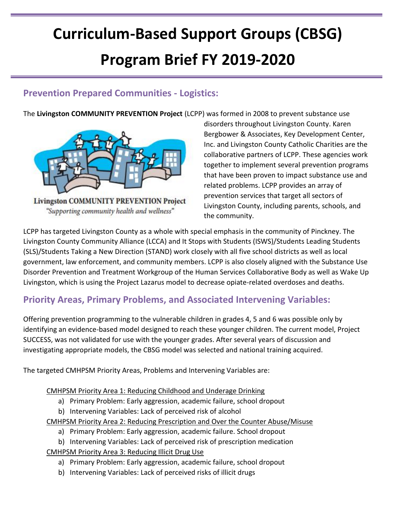# **Curriculum-Based Support Groups (CBSG) Program Brief FY 2019-2020**

### **Prevention Prepared Communities - Logistics:**

The **Livingston COMMUNITY PREVENTION Project** (LCPP) was formed in 2008 to prevent substance use



**Livingston COMMUNITY PREVENTION Project** "Supporting community health and wellness"

disorders throughout Livingston County. Karen Bergbower & Associates, Key Development Center, Inc. and Livingston County Catholic Charities are the collaborative partners of LCPP. These agencies work together to implement several prevention programs that have been proven to impact substance use and related problems. LCPP provides an array of prevention services that target all sectors of Livingston County, including parents, schools, and the community.

LCPP has targeted Livingston County as a whole with special emphasis in the community of Pinckney. The Livingston County Community Alliance (LCCA) and It Stops with Students (ISWS)/Students Leading Students (SLS)/Students Taking a New Direction (STAND) work closely with all five school districts as well as local government, law enforcement, and community members. LCPP is also closely aligned with the Substance Use Disorder Prevention and Treatment Workgroup of the Human Services Collaborative Body as well as Wake Up Livingston, which is using the Project Lazarus model to decrease opiate-related overdoses and deaths.

## **Priority Areas, Primary Problems, and Associated Intervening Variables:**

Offering prevention programming to the vulnerable children in grades 4, 5 and 6 was possible only by identifying an evidence-based model designed to reach these younger children. The current model, Project SUCCESS, was not validated for use with the younger grades. After several years of discussion and investigating appropriate models, the CBSG model was selected and national training acquired.

The targeted CMHPSM Priority Areas, Problems and Intervening Variables are:

CMHPSM Priority Area 1: Reducing Childhood and Underage Drinking

- a) Primary Problem: Early aggression, academic failure, school dropout
- b) Intervening Variables: Lack of perceived risk of alcohol

CMHPSM Priority Area 2: Reducing Prescription and Over the Counter Abuse/Misuse

- a) Primary Problem: Early aggression, academic failure. School dropout
- b) Intervening Variables: Lack of perceived risk of prescription medication
- CMHPSM Priority Area 3: Reducing Illicit Drug Use
	- a) Primary Problem: Early aggression, academic failure, school dropout
	- b) Intervening Variables: Lack of perceived risks of illicit drugs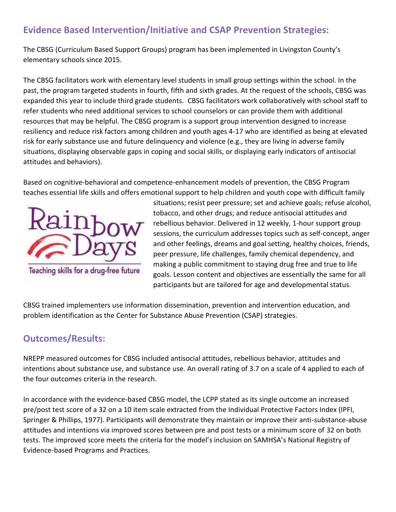## **Evidence Based Intervention/Initiative and CSAP Prevention Strategies:**

The CBSG (Curriculum Based Support Groups) program has been implemented in Livingston County's elementary schools since 2015.

The CBSG facilitators work with elementary level students in small group settings within the school. In the past, the program targeted students in fourth, fifth and sixth grades. At the request of the schools, CBSG was expanded this year to include third grade students. CBSG facilitators work collaboratively with school staff to refer students who need additional services to school counselors or can provide them with additional resources that may be helpful. The CBSG program is a support group intervention designed to increase resiliency and reduce risk factors among children and youth ages 4-17 who are identified as being at elevated risk for early substance use and future delinquency and violence (e.g., they are living in adverse family situations, displaying observable gaps in coping and social skills, or displaying early indicators of antisocial attitudes and behaviors).

Based on cognitive-behavioral and competence-enhancement models of prevention, the CBSG Program teaches essential life skills and offers emotional support to help children and youth cope with difficult family



rebellious behavior. Delivered in 12 weekly, 1-hour support group sessions, the curriculum addresses topics such as self-concept, anger and other feelings, dreams and goal setting, healthy choices, friends, peer pressure, life challenges, family chemical dependency, and making a public commitment to staying drug free and true to life goals. Lesson content and objectives are essentially the same for all participants but are tailored for age and developmental status.

situations; resist peer pressure; set and achieve goals; refuse alcohol,

tobacco, and other drugs; and reduce antisocial attitudes and

CBSG trained implementers use information dissemination, prevention and intervention education, and problem identification as the Center for Substance Abuse Prevention (CSAP) strategies.

#### **Outcomes/Results:**

NREPP measured outcomes for CBSG included antisocial attitudes, rebellious behavior, attitudes and intentions about substance use, and substance use. An overall rating of 3.7 on a scale of 4 applied to each of the four outcomes criteria in the research.

In accordance with the evidence-based CBSG model, the LCPP stated as its single outcome an increased pre/post test score of a 32 on a 10 item scale extracted from the Individual Protective Factors Index (IPFI, Springer & Phillips, 1977). Participants will demonstrate they maintain or improve their anti-substance-abuse attitudes and intentions via improved scores between pre and post tests or a minimum score of 32 on both tests. The improved score meets the criteria for the model's inclusion on SAMHSA's National Registry of Evidence-based Programs and Practices.